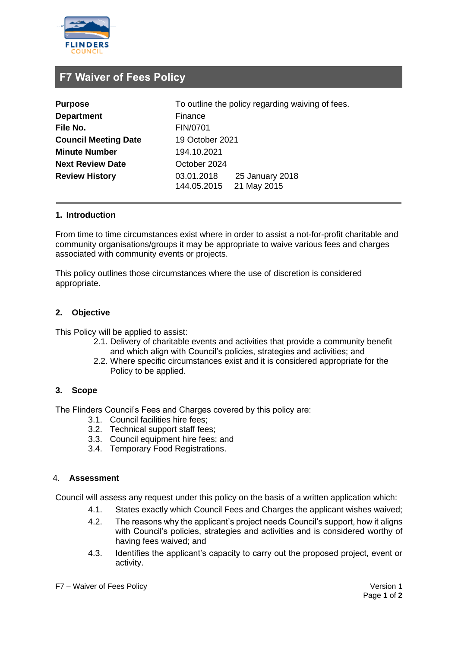

# **F7 Waiver of Fees Policy**

| <b>Purpose</b>              | To outline the policy regarding waiving of fees.            |
|-----------------------------|-------------------------------------------------------------|
| <b>Department</b>           | Finance                                                     |
| File No.                    | FIN/0701                                                    |
| <b>Council Meeting Date</b> | 19 October 2021                                             |
| <b>Minute Number</b>        | 194.10.2021                                                 |
| <b>Next Review Date</b>     | October 2024                                                |
| <b>Review History</b>       | 25 January 2018<br>03.01.2018<br>21 May 2015<br>144.05.2015 |

# **1. Introduction**

From time to time circumstances exist where in order to assist a not-for-profit charitable and community organisations/groups it may be appropriate to waive various fees and charges associated with community events or projects.

This policy outlines those circumstances where the use of discretion is considered appropriate.

# **2. Objective**

This Policy will be applied to assist:

- 2.1. Delivery of charitable events and activities that provide a community benefit and which align with Council's policies, strategies and activities; and
- 2.2. Where specific circumstances exist and it is considered appropriate for the Policy to be applied.

#### **3. Scope**

The Flinders Council's Fees and Charges covered by this policy are:

- 3.1. Council facilities hire fees;
- 3.2. Technical support staff fees;
- 3.3. Council equipment hire fees; and
- 3.4. Temporary Food Registrations.

#### 4. **Assessment**

Council will assess any request under this policy on the basis of a written application which:

- 4.1. States exactly which Council Fees and Charges the applicant wishes waived;
- 4.2. The reasons why the applicant's project needs Council's support, how it aligns with Council's policies, strategies and activities and is considered worthy of having fees waived; and
- 4.3. Identifies the applicant's capacity to carry out the proposed project, event or activity.

F7 – Waiver of Fees Policy Version 1